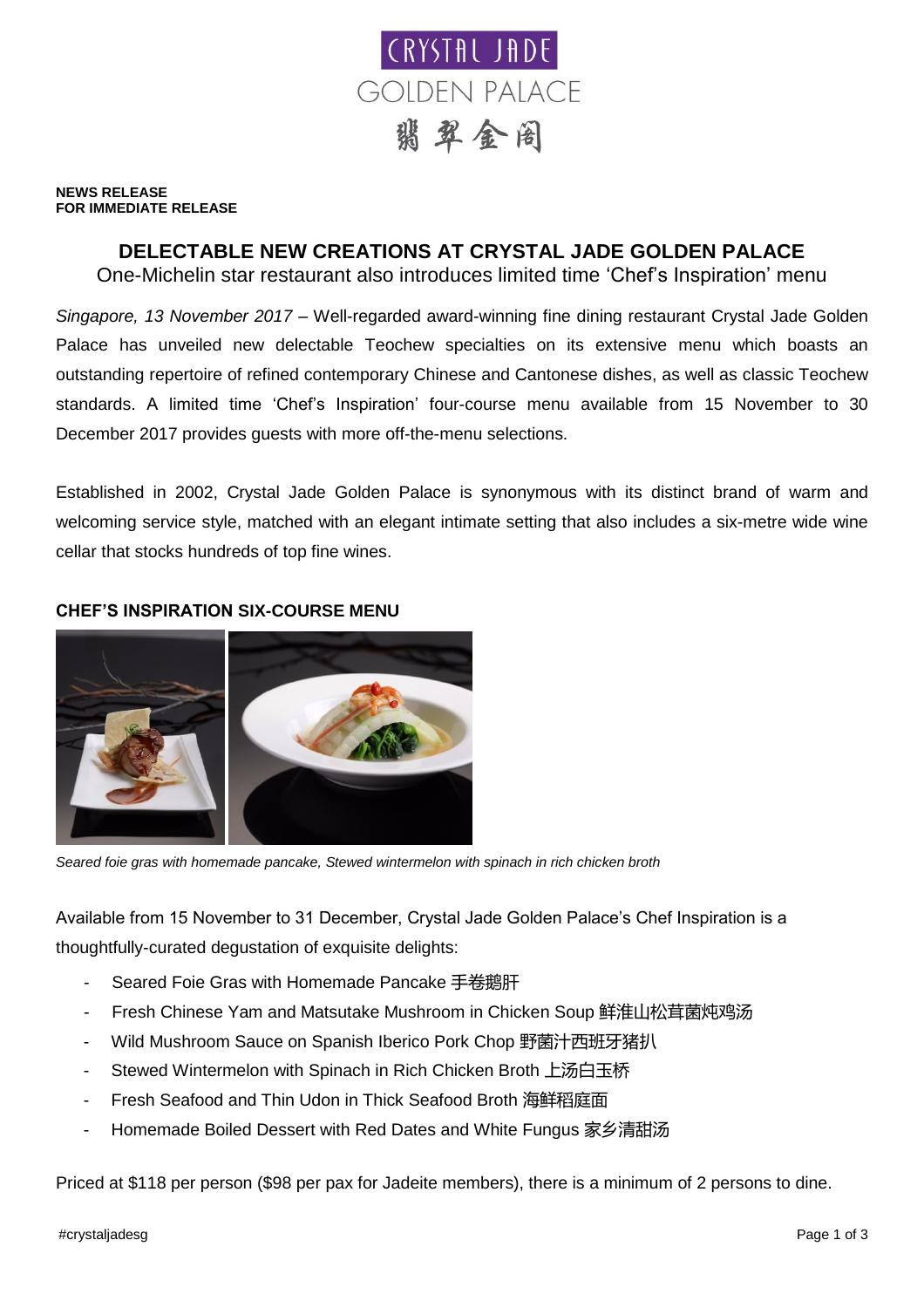

#### **NEWS RELEASE FOR IMMEDIATE RELEASE**

# **DELECTABLE NEW CREATIONS AT CRYSTAL JADE GOLDEN PALACE**

One-Michelin star restaurant also introduces limited time 'Chef's Inspiration' menu

*Singapore, 13 November 2017* – Well-regarded award-winning fine dining restaurant Crystal Jade Golden Palace has unveiled new delectable Teochew specialties on its extensive menu which boasts an outstanding repertoire of refined contemporary Chinese and Cantonese dishes, as well as classic Teochew standards. A limited time 'Chef's Inspiration' four-course menu available from 15 November to 30 December 2017 provides guests with more off-the-menu selections.

Established in 2002, Crystal Jade Golden Palace is synonymous with its distinct brand of warm and welcoming service style, matched with an elegant intimate setting that also includes a six-metre wide wine cellar that stocks hundreds of top fine wines.

## **CHEF'S INSPIRATION SIX-COURSE MENU**



*Seared foie gras with homemade pancake, Stewed wintermelon with spinach in rich chicken broth*

Available from 15 November to 31 December, Crystal Jade Golden Palace's Chef Inspiration is a thoughtfully-curated degustation of exquisite delights:

- Seared Foie Gras with Homemade Pancake 手卷鹅肝
- Fresh Chinese Yam and Matsutake Mushroom in Chicken Soup 鲜淮山松茸菌炖鸡汤
- Wild Mushroom Sauce on Spanish Iberico Pork Chop 野菌汁西班牙猪扒
- Stewed Wintermelon with Spinach in Rich Chicken Broth 上汤白玉桥
- Fresh Seafood and Thin Udon in Thick Seafood Broth 海鲜稻庭面
- Homemade Boiled Dessert with Red Dates and White Fungus 家乡清甜汤

Priced at \$118 per person (\$98 per pax for Jadeite members), there is a minimum of 2 persons to dine.

#crystaljadesg Page 1 of 3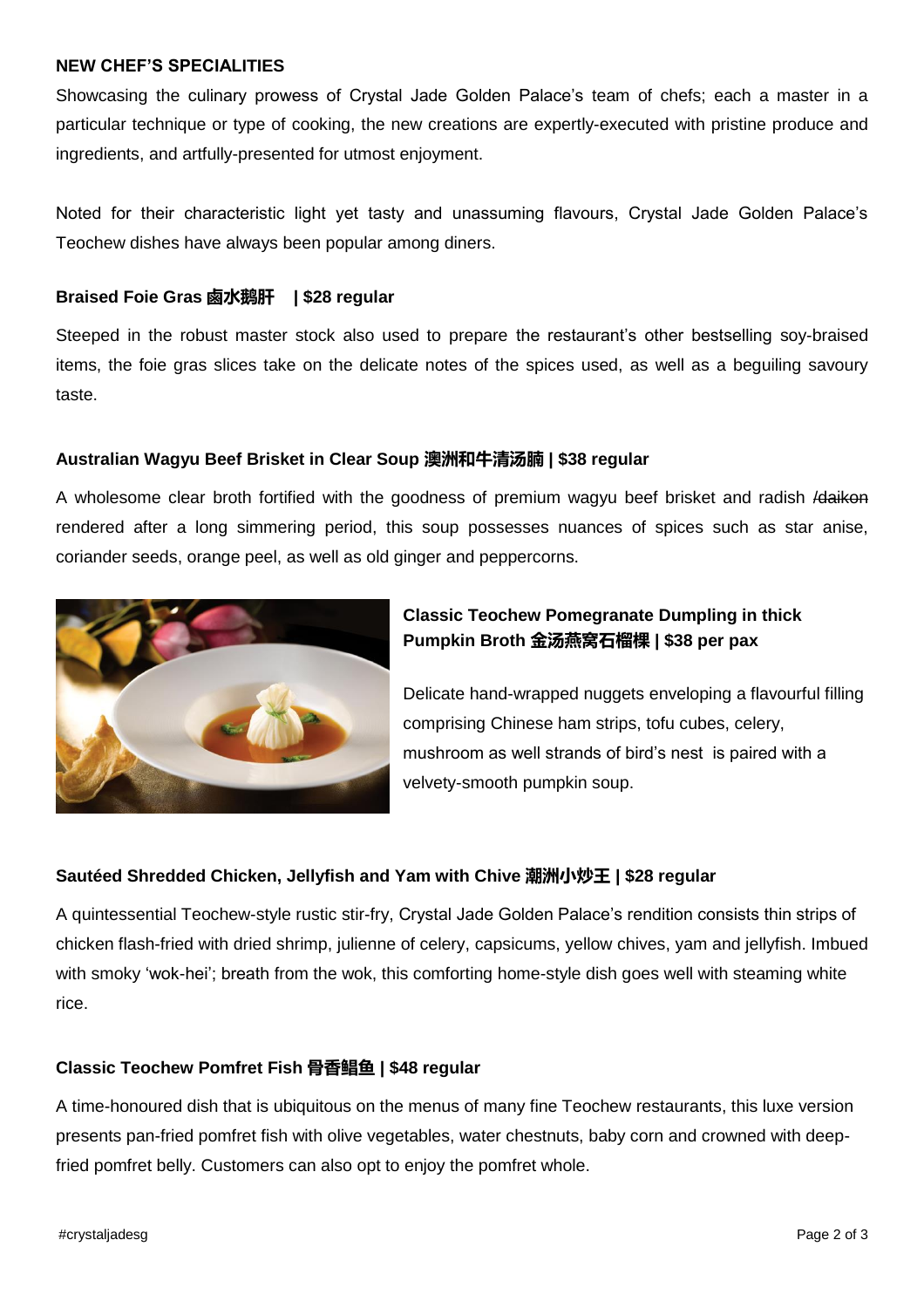### **NEW CHEF'S SPECIALITIES**

Showcasing the culinary prowess of Crystal Jade Golden Palace's team of chefs; each a master in a particular technique or type of cooking, the new creations are expertly-executed with pristine produce and ingredients, and artfully-presented for utmost enjoyment.

Noted for their characteristic light yet tasty and unassuming flavours, Crystal Jade Golden Palace's Teochew dishes have always been popular among diners.

#### **Braised Foie Gras 鹵水鹅肝 | \$28 regular**

Steeped in the robust master stock also used to prepare the restaurant's other bestselling soy-braised items, the foie gras slices take on the delicate notes of the spices used, as well as a beguiling savoury taste.

### **Australian Wagyu Beef Brisket in Clear Soup 澳洲和牛清汤腩 | \$38 regular**

A wholesome clear broth fortified with the goodness of premium wagyu beef brisket and radish *Idaikon* rendered after a long simmering period, this soup possesses nuances of spices such as star anise, coriander seeds, orange peel, as well as old ginger and peppercorns.



# **Classic Teochew Pomegranate Dumpling in thick Pumpkin Broth 金汤燕窝石榴棵 | \$38 per pax**

Delicate hand-wrapped nuggets enveloping a flavourful filling comprising Chinese ham strips, tofu cubes, celery, mushroom as well strands of bird's nest is paired with a velvety-smooth pumpkin soup.

### **Sautéed Shredded Chicken, Jellyfish and Yam with Chive 潮洲小炒王 | \$28 regular**

A quintessential Teochew-style rustic stir-fry, Crystal Jade Golden Palace's rendition consists thin strips of chicken flash-fried with dried shrimp, julienne of celery, capsicums, yellow chives, yam and jellyfish. Imbued with smoky 'wok-hei'; breath from the wok, this comforting home-style dish goes well with steaming white rice.

### **Classic Teochew Pomfret Fish 骨香鲳鱼 | \$48 regular**

A time-honoured dish that is ubiquitous on the menus of many fine Teochew restaurants, this luxe version presents pan-fried pomfret fish with olive vegetables, water chestnuts, baby corn and crowned with deepfried pomfret belly. Customers can also opt to enjoy the pomfret whole.